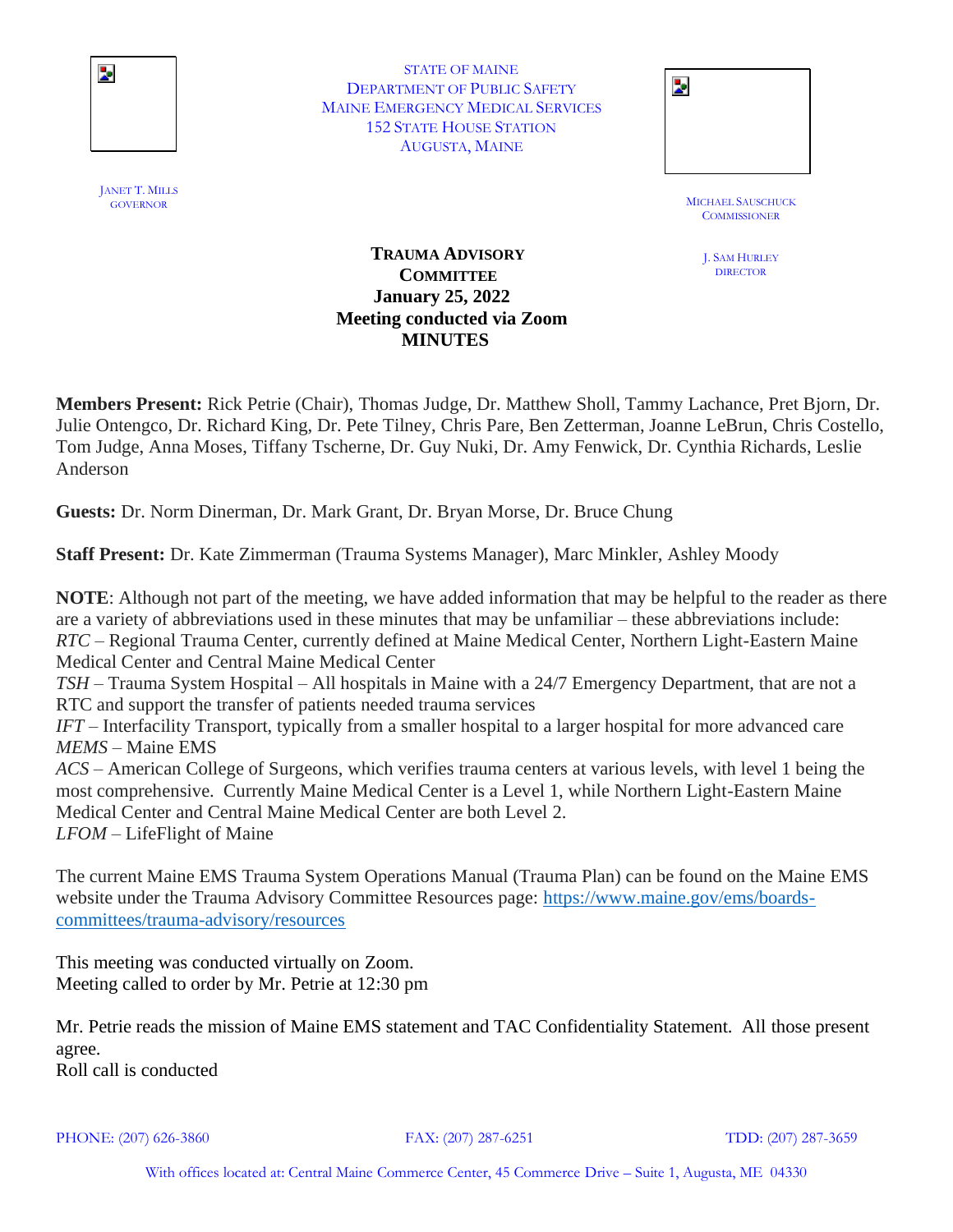

STATE OF MAINE DEPARTMENT OF PUBLIC SAFETY MAINE EMERGENCY MEDICAL SERVICES 152 STATE HOUSE STATION AUGUSTA, MAINE

| STATE OF MAINE                   |                |
|----------------------------------|----------------|
| TMENT OF PUBLIC SAFETY           | $\blacksquare$ |
| <b>IERGENCY MEDICAL SERVICES</b> |                |
| <b>STATE HOUSE STATION</b>       |                |
| AUGUSTA, MAINE                   |                |
|                                  |                |

MICHAEL SAUSCHUCK<br>GOVERNOR **COMMISSIONER** 

> J. SAM HURLEY **DIRECTOR**

### **TRAUMA ADVISORY COMMITTEE January 25, 2022 Meeting conducted via Zoom MINUTES**

**Members Present:** Rick Petrie (Chair), Thomas Judge, Dr. Matthew Sholl, Tammy Lachance, Pret Bjorn, Dr. Julie Ontengco, Dr. Richard King, Dr. Pete Tilney, Chris Pare, Ben Zetterman, Joanne LeBrun, Chris Costello, Tom Judge, Anna Moses, Tiffany Tscherne, Dr. Guy Nuki, Dr. Amy Fenwick, Dr. Cynthia Richards, Leslie Anderson

**Guests:** Dr. Norm Dinerman, Dr. Mark Grant, Dr. Bryan Morse, Dr. Bruce Chung

**Staff Present:** Dr. Kate Zimmerman (Trauma Systems Manager), Marc Minkler, Ashley Moody

**NOTE**: Although not part of the meeting, we have added information that may be helpful to the reader as there are a variety of abbreviations used in these minutes that may be unfamiliar – these abbreviations include: *RTC* – Regional Trauma Center, currently defined at Maine Medical Center, Northern Light-Eastern Maine Medical Center and Central Maine Medical Center *TSH* – Trauma System Hospital – All hospitals in Maine with a 24/7 Emergency Department, that are not a RTC and support the transfer of patients needed trauma services *IFT* – Interfacility Transport, typically from a smaller hospital to a larger hospital for more advanced care *MEMS* – Maine EMS *ACS* – American College of Surgeons, which verifies trauma centers at various levels, with level 1 being the most comprehensive. Currently Maine Medical Center is a Level 1, while Northern Light-Eastern Maine Medical Center and Central Maine Medical Center are both Level 2. *LFOM* – LifeFlight of Maine

The current Maine EMS Trauma System Operations Manual (Trauma Plan) can be found on the Maine EMS website under the Trauma Advisory Committee Resources page: [https://www.maine.gov/ems/boards](https://www.maine.gov/ems/boards-committees/trauma-advisory/resources)[committees/trauma-advisory/resources](https://www.maine.gov/ems/boards-committees/trauma-advisory/resources)

This meeting was conducted virtually on Zoom. Meeting called to order by Mr. Petrie at 12:30 pm

Mr. Petrie reads the mission of Maine EMS statement and TAC Confidentiality Statement. All those present agree. Roll call is conducted

PHONE: (207) 626-3860 FAX: (207) 287-6251 TDD: (207) 287-3659

JANET T. MILLS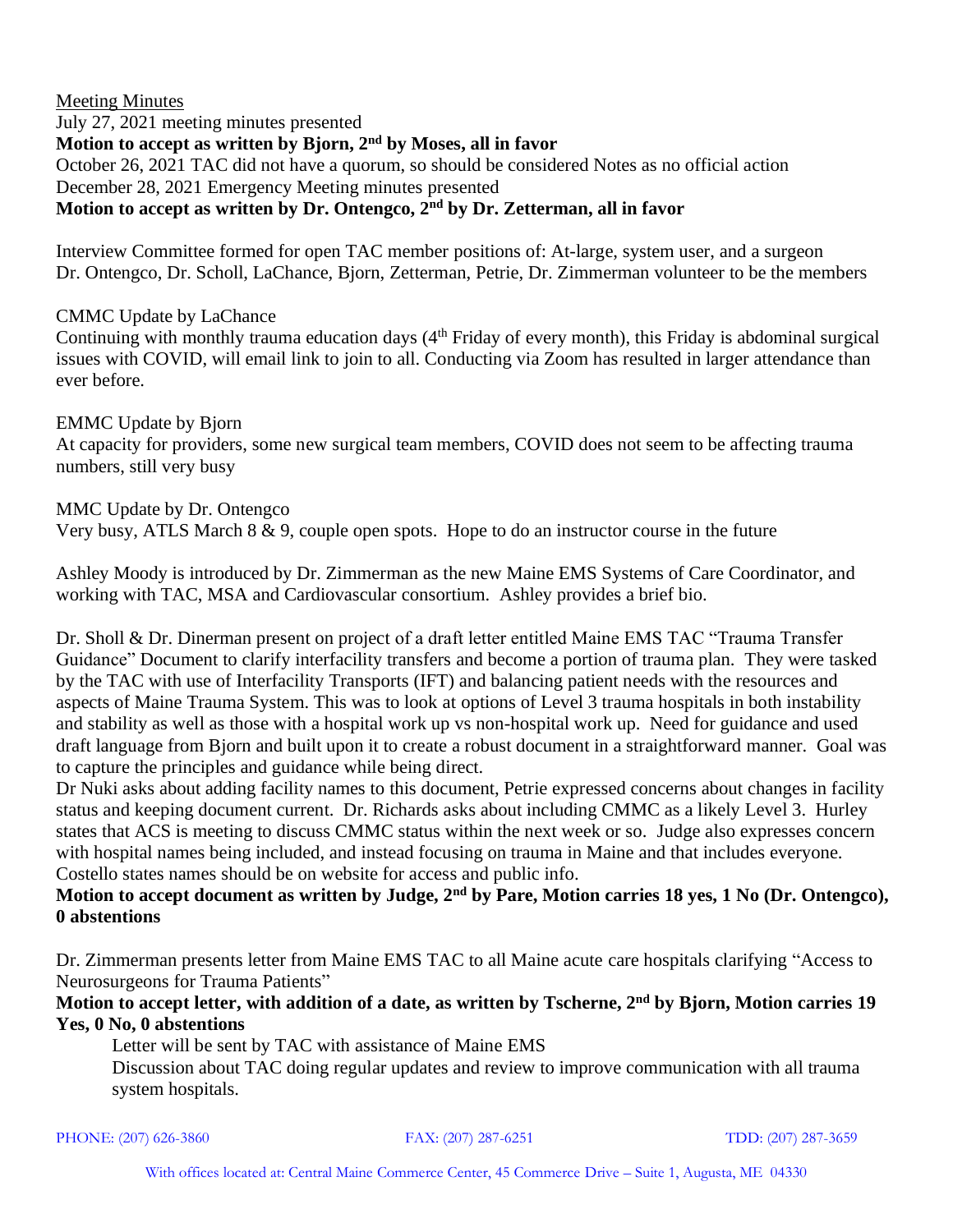Meeting Minutes July 27, 2021 meeting minutes presented **Motion to accept as written by Bjorn, 2nd by Moses, all in favor** October 26, 2021 TAC did not have a quorum, so should be considered Notes as no official action December 28, 2021 Emergency Meeting minutes presented **Motion to accept as written by Dr. Ontengco, 2nd by Dr. Zetterman, all in favor**

Interview Committee formed for open TAC member positions of: At-large, system user, and a surgeon Dr. Ontengco, Dr. Scholl, LaChance, Bjorn, Zetterman, Petrie, Dr. Zimmerman volunteer to be the members

### CMMC Update by LaChance

Continuing with monthly trauma education days  $(4<sup>th</sup>$  Friday of every month), this Friday is abdominal surgical issues with COVID, will email link to join to all. Conducting via Zoom has resulted in larger attendance than ever before.

EMMC Update by Bjorn At capacity for providers, some new surgical team members, COVID does not seem to be affecting trauma numbers, still very busy

MMC Update by Dr. Ontengco Very busy, ATLS March  $8 \& 9$ , couple open spots. Hope to do an instructor course in the future

Ashley Moody is introduced by Dr. Zimmerman as the new Maine EMS Systems of Care Coordinator, and working with TAC, MSA and Cardiovascular consortium. Ashley provides a brief bio.

Dr. Sholl & Dr. Dinerman present on project of a draft letter entitled Maine EMS TAC "Trauma Transfer Guidance" Document to clarify interfacility transfers and become a portion of trauma plan. They were tasked by the TAC with use of Interfacility Transports (IFT) and balancing patient needs with the resources and aspects of Maine Trauma System. This was to look at options of Level 3 trauma hospitals in both instability and stability as well as those with a hospital work up vs non-hospital work up. Need for guidance and used draft language from Bjorn and built upon it to create a robust document in a straightforward manner. Goal was to capture the principles and guidance while being direct.

Dr Nuki asks about adding facility names to this document, Petrie expressed concerns about changes in facility status and keeping document current. Dr. Richards asks about including CMMC as a likely Level 3. Hurley states that ACS is meeting to discuss CMMC status within the next week or so. Judge also expresses concern with hospital names being included, and instead focusing on trauma in Maine and that includes everyone. Costello states names should be on website for access and public info.

# **Motion to accept document as written by Judge, 2nd by Pare, Motion carries 18 yes, 1 No (Dr. Ontengco), 0 abstentions**

Dr. Zimmerman presents letter from Maine EMS TAC to all Maine acute care hospitals clarifying "Access to Neurosurgeons for Trauma Patients"

**Motion to accept letter, with addition of a date, as written by Tscherne, 2nd by Bjorn, Motion carries 19 Yes, 0 No, 0 abstentions**

Letter will be sent by TAC with assistance of Maine EMS Discussion about TAC doing regular updates and review to improve communication with all trauma system hospitals.

PHONE: (207) 626-3860 FAX: (207) 287-6251 TDD: (207) 287-3659